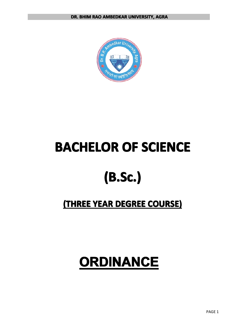

# **BACHELOR OF SCIENCE**

# **(B.Sc.) (B.Sc.) (B.Sc.) (B.Sc.)**

## **(THREE YEAR DEGREE COURSE) COURSE) COURSE)**

# **ORDINANCE ORDINANCE ORDINANCEORDINANCE**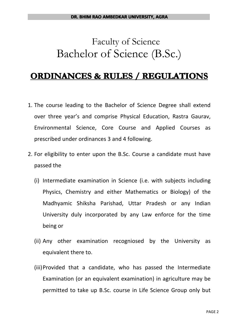## Faculty of Science Bachelor of Science (B.Sc.)

## **ORDINANCES & RULES / REGULATIONS**

- 1. The course leading to the Bachelor of Science Degree shall extend over three year's and comprise Physical Education, Rastra Gaurav, Environmental Science, Core Course and Applied Courses as prescribed under ordinances 3 and 4 following.
- 2. For eligibility to enter upon the B.Sc. Course <sup>a</sup> candidate must have passed the
	- (i) Intermediate examination in Science (i.e. with subjects including Physics, Chemistry and either Mathematics or Biology) of the Madhyamic Shiksha Parishad, Uttar Pradesh or any Indian University duly incorporated by any Law enforce for the time being or
	- (ii) Any other examination recogniosed by the University as equivalent there to.
	- (iii)Provided that <sup>a</sup> candidate, who has passed the Intermediate Examination (or an equivalent examination) in agriculture may be permitted to take up B.Sc. course in Life Science Group only but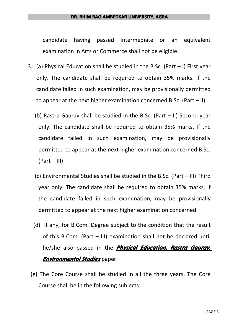#### **DR. BHIM RAO AMBEDKAR UNIVERSITY, AGRA**

candidate having passed Intermediate or an equivalent examination in Arts or Commerce shall not be eligible.

- 3. (a) Physical Education shall be studied in the B.Sc. (Part I) First year only. The candidate shall be required to obtain 35% marks. If the candidate failed in such examination, may be provisionally permitted to appear at the next higher examination concerned B.Sc. (Part – II)
	- (b) Rastra Gaurav shall be studied in the B.Sc. (Part II) Second year only. The candidate shall be required to obtain 35% marks. If the candidate failed in such examination, may be provisionally permitted to appear at the next higher examination concerned B.Sc.  $(Part - III)$
	- (c) Environmental Studies shall be studied in the B.Sc. (Part III) Third year only. The candidate shall be required to obtain 35% marks. If the candidate failed in such examination, may be provisionally permitted to appear at the next higher examination concerned.
	- (d) If any, for B.Com. Degree subject to the condition that the result of this B.Com. (Part – III) examination shall not be declared until he/she also passed in the *Physical Physical Education, Education, Education,Rastra Gaurav, Environmental Studies* paper.
	- (e) The Core Course shall be studied in all the three years. The Core Course shall be in the following subjects: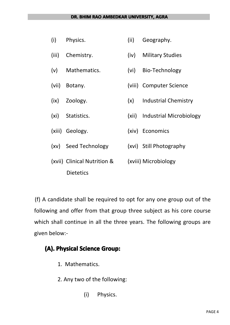#### **DR. BHIM RAO AMBEDKAR UNIVERSITY, AGRA**

| (i)   | Physics.                    | (ii) | Geography.                    |
|-------|-----------------------------|------|-------------------------------|
| (iii) | Chemistry.                  | (iv) | <b>Military Studies</b>       |
| (v)   | Mathematics.                | (vi) | Bio-Technology                |
| (vii) | Botany.                     |      | (viii) Computer Science       |
| (ix)  | Zoology.                    | (x)  | <b>Industrial Chemistry</b>   |
| (xi)  | Statistics.                 |      | (xii) Industrial Microbiology |
|       | (xiii) Geology.             |      | (xiv) Economics               |
| (xv)  | Seed Technology             |      | (xvi) Still Photography       |
|       | (xvii) Clinical Nutrition & |      | (xviii) Microbiology          |
|       | <b>Dietetics</b>            |      |                               |

(f) A candidate shall be required to opt for any one group out of the following and offer from that group three subject as his core course which shall continue in all the three years. The following groups are given below:-

## **(A). Physical Physical PhysicalPhysicalScience Science ScienceGroup:**

- 1. Mathematics.
- 2. Any two of the following:
	- (i) Physics.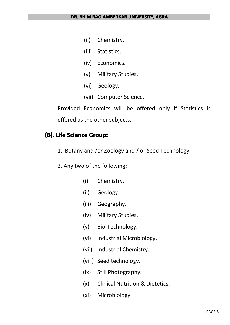- (ii) Chemistry.
- (iii) Statistics.
- (iv) Economics.
- (v) Military Studies.
- (vi) Geology.
- (vii) Computer Science.

Provided Economics will be offered only if Statistics is offered as the other subjects.

## **(B). Life Science Science Science Science Group:**

- 1. Botany and /or Zoology and / or Seed Technology.
- 2. Any two of the following:
	- (i) Chemistry.
	- (ii) Geology.
	- (iii) Geography.
	- (iv) Military Studies.
	- (v) Bio-Technology.
	- (vi) Industrial Microbiology.
	- (vii) Industrial Chemistry.
	- (viii) Seed technology.
	- (ix) Still Photography.
	- (x) Clinical Nutrition & Dietetics.
	- (xi) Microbiology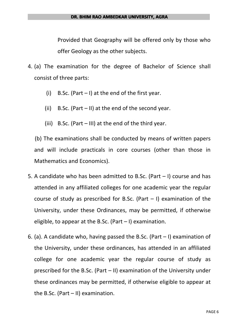Provided that Geography will be offered only by those who offer Geology as the other subjects.

- 4. (a) The examination for the degree of Bachelor of Science shall consist of three parts:
	- (i) B.Sc. (Part  $-1$ ) at the end of the first year.
	- (ii) B.Sc. (Part II) at the end of the second year.
	- (iii) B.Sc. (Part  $-$  III) at the end of the third year.

(b) The examinations shall be conducted by means of written papers and will include practicals in core courses (other than those in Mathematics and Economics).

- 5. A candidate who has been admitted to B.Sc. (Part I) course and has attended in any affiliated colleges for one academic year the regular course of study as prescribed for B.Sc. (Part  $-$  I) examination of the University, under these Ordinances, may be permitted, if otherwise eligible, to appear at the B.Sc. (Part – I) examination.
- 6. (a). A candidate who, having passed the B.Sc. (Part  $-$  I) examination of the University, under these ordinances, has attended in an affiliated college for one academic year the regular course of study as prescribed for the B.Sc. (Part – II) examination of the University under these ordinances may be permitted, if otherwise eligible to appear at the B.Sc. (Part – II) examination.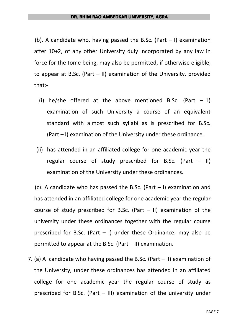(b). A candidate who, having passed the B.Sc. (Part  $-1$ ) examination after 10+2, of any other University duly incorporated by any law in force for the tome being, may also be permitted, if otherwise eligible, to appear at B.Sc. (Part – II) examination of the University, provided that:-

- (i) he/she offered at the above mentioned B.Sc. (Part  $-1$ ) examination of such University <sup>a</sup> course of an equivalent standard with almost such syllabi as is prescribed for B.Sc. (Part – I) examination of the University under these ordinance.
- (ii) has attended in an affiliated college for one academic year the regular course of study prescribed for B.Sc. (Part  $-$  II) examination of the University under these ordinances.

(c). A candidate who has passed the B.Sc. (Part  $-1$ ) examination and has attended in an affiliated college for one academic year the regular course of study prescribed for B.Sc. (Part  $-$  II) examination of the university under these ordinances together with the regular course prescribed for B.Sc. (Part  $-$  I) under these Ordinance, may also be permitted to appear at the B.Sc. (Part – II) examination.

7. (a) A candidate who having passed the B.Sc. (Part – II) examination of the University, under these ordinances has attended in an affiliated college for one academic year the regular course of study as prescribed for B.Sc. (Part – III) examination of the university under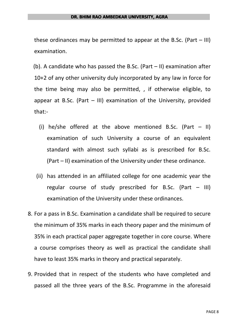#### **DR. BHIM RAO AMBEDKAR UNIVERSITY, AGRA**

these ordinances may be permitted to appear at the B.Sc. (Part – III) examination.

(b). A candidate who has passed the B.Sc. (Part – II) examination after 10+2 of any other university duly incorporated by any law in force for the time being may also be permitted, , if otherwise eligible, to appear at B.Sc. (Part  $-$  III) examination of the University, provided that:-

- (i) he/she offered at the above mentioned B.Sc. (Part  $-$  II) examination of such University <sup>a</sup> course of an equivalent standard with almost such syllabi as is prescribed for B.Sc. (Part – II) examination of the University under these ordinance.
- (ii) has attended in an affiliated college for one academic year the regular course of study prescribed for B.Sc. (Part  $-$  III) examination of the University under these ordinances.
- 8. For <sup>a</sup> pass in B.Sc. Examination <sup>a</sup> candidate shall be required to secure the minimum of 35% marks in each theory paper and the minimum of 35% in each practical paper aggregate together in core course. Where <sup>a</sup> course comprises theory as well as practical the candidate shall have to least 35% marks in theory and practical separately.
- 9. Provided that in respect of the students who have completed and passed all the three years of the B.Sc. Programme in the aforesaid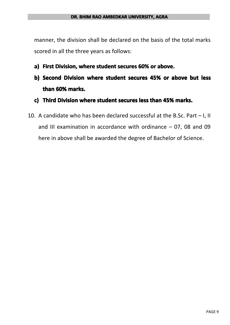manner, the division shall be declared on the basis of the total marks scored in all the three years as follows:

- **a)** First Division, where student secures 60% or above.
- b) Second Division where student secures 45% or above but less **than 60% marks.**
- **c) Third Division Divisionwhere student studentsecures less than 45% marks.**
- 10. A candidate who has been declared successful at the B.Sc. Part I, II and III examination in accordance with ordinance  $-07$ , 08 and 09 here in above shall be awarded the degree of Bachelor of Science.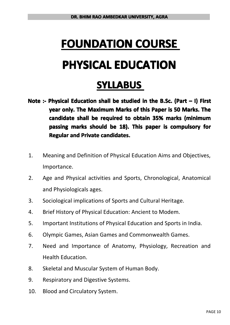# **FOUNDATION FOUNDATION FOUNDATION FOUNDATION COURSE PHYSICAL PHYSICAL PHYSICAL PHYSICAL EDUCATION EDUCATION EDUCATION**

## **SYLLABUS**

- Note :- Physical Education shall be studied in the B.Sc. (Part  $-$  I) First **year** only. The Maximum Marks of this Paper is 50 Marks. The **candidate candidatecandidateshall be required required requiredto obtain 35% marks (minimum passing passing marks should be 18). This paper is compulsory compulsory compulsorycompulsory for Regular and Private candidates.**
- 1. Meaning and Definition of Physical Education Aims and Objectives, Importance.
- 2. Age and Physical activities and Sports, Chronological, Anatomical and Physiologicals ages.
- 3. Sociological implications of Sports and Cultural Heritage.
- 4. Brief History of Physical Education: Ancient to Modem.
- 5. Important Institutions of Physical Education and Sports in India.
- 6. Olympic Games, Asian Games and Commonwealth Games.
- 7. Need and Importance of Anatomy, Physiology, Recreation and Health Education.
- 8. Skeletal and Muscular System of Human Body.
- 9. Respiratory and Digestive Systems.
- 10. Blood and Circulatory System.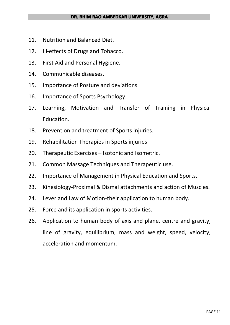- 11. Nutrition and Balanced Diet.
- 12. Ill-effects of Drugs and Tobacco.
- 13. First Aid and Personal Hygiene.
- 14. Communicable diseases.
- 15. Importance of Posture and deviations.
- 16. Importance of Sports Psychology.
- 17. Learning, Motivation and Transfer of Training in Physical Education.
- 18. Prevention and treatment of Sports injuries.
- 19. Rehabilitation Therapies in Sports injuries
- 20. Therapeutic Exercises Isotonic and Isometric.
- 21. Common Massage Techniques and Therapeutic use.
- 22. Importance of Management in Physical Education and Sports.
- 23. Kinesiology-Proximal & Dismal attachments and action of Muscles.
- 24. Lever and Law of Motion-their application to human body.
- 25. Force and its application in sports activities.
- 26. Application to human body of axis and plane, centre and gravity, line of gravity, equilibrium, mass and weight, speed, velocity, acceleration and momentum.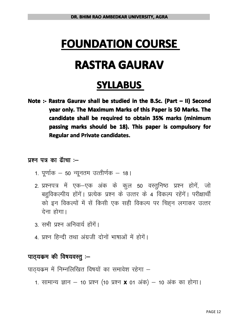## **FOUNDATION FOUNDATION FOUNDATION FOUNDATION COURSE**

## **RASTRA GAURAV**

## **SYLLABUS**

**Note :- Rastra Gaurav shall be studied studied studied studied in the B.Sc. (Part – II) Second year** only. The Maximum Marks of this Paper is 50 Marks. The **candidate candidatecandidateshall be required required requiredto obtain 35% marks (minimum passing passing marks should be 18). This paper is compulsory compulsory compulsorycompulsory for Regular and Private candidates.** 

- 
- **429 पत्र का ढॅाचा**<br>1. पूर्णाक 50 न्यू<br>2. प्रश्नपत्र में एव्<br>बहुविकल्पीय हों<br>को इन विकल्पों 1- iw.kk Zd & <sup>50</sup> U; wure mRrh.kZd & 18A 1. पूर्णाक — 50 न्यूनतम उत्तीर्णक — 18 |<br>2. प्रश्नपत्र में एक—एक अंक के कुल 50 वस्तुनिष्ठ प्रश्न होगें, जो<br>बहुविकल्पीय होंगें | प्रत्येक प्रश्न के उत्तर के 4 विकल्प रहेंगें | परीक्षार्थी<br>को इन विकल्पों म बहुविकल्पीय होंगें। प्रत्येक प्रश्न के उत्तर के 4 विकल्प रहेंगें। परीक्षार्थी को इन विकल्पों में सें किसी एक सही विकल्प पर चिह्न लगाकर उत्तर<br>देना होगा।<br>3. सभी प्रश्न अनिवार्य होंगें।<br>4. प्रश्न हिन्दी तथा अंग्रजी दोनों भाषाओं में होगें।<br>**पाठ्यकम की विषयवस्तु :—** का इन 1व<br>| देना होगा<br>|-<br>| 3. सभी प्रश्न<br>|-<br>| पाठ्यकम की वि
	-
	- 4. प्रश्न हिन्दी तथा अंग्रजी दोनों भाषाओं में होगें।<br>**पाठ्यकम की विषयवस्तु :–**<br>पाठ्यकम में निम्नलिखित विषयों का समावेश रहेगा -<br>1. सामान्य ज्ञान 10 प्रश्न (10 प्रश्न **x** 01 अंक

# **410) पाठ्यकम की विषयवस्तु :–**<br>पाठ्यकम में निम्नलिखित बि<br>1. सामान्य ज्ञान — 10

3. सभी प्रश्न अनिवार्य होंगें।<br>4. प्रश्न हिन्दी तथा अंग्रजी<br>पाठ्**यकम की विषयवस्तु :–**<br>पाठ्यकम में निम्नलिखित विषयं ं<br>पाठ्यक्रम में निम्नलिखित विषयों का समावेश रहेगा –<br>1. सामान्य ज्ञान – 10 प्रश्न (10 प्रश्न **x** 01 अंक)

1. सामान्य ज्ञान – 10 प्रश्न (10 प्रश्न **x** 01 अक) – 10 अक का होगा।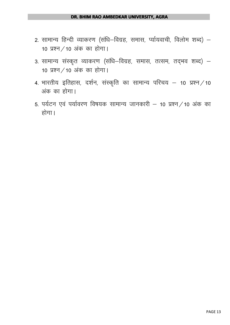- 2. सामान्य हिन्दी व्याकरण (संधि—विग्रह, समास, र्प्यायवाची, विलोम शब्द) —<br>10 प्रश्न ⁄ 10 अंक का होगा।<br>3. सामान्य संस्कृत व्याकरण (संधि—विग्रह, समास, तत्सम, तद्भव शब्द) —<br>10 प्रश्न ⁄ 10 अंक का होगा।<br>4. भारतीय इतिहास, दर्शन,  $10 \,$  प्रश्न  $/$  10 अंक का होगा।
	- 3. सामान्य संस्कृत व्याकरण (संधि–विग्रह, समास, तत्सम, तद्भव शब्द)  $10 \,$  प्रश्न  $/$  10 अंक का होगा।
- 4. भारतीय इतिहास, दर्शन, संस्कृति का सामान्य परिचय 10 प्रश्न $\neq$ 10 अंक का होगा।
	- 5. पर्यटन एवं पर्यावरण विषयक सामान्य जानकारी 10 प्रश्न / 10 अंक का होगा।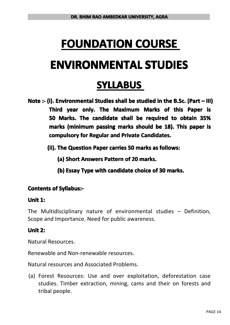# **FOUNDATION FOUNDATION FOUNDATION FOUNDATION COURSE ENVIRONMENTAL ENVIRONMENTAL ENVIRONMENTAL ENVIRONMENTAL STUDIES STUDIES STUDIES STUDIES**

## **SYLLABUS**

- Note :- (i). Environmental Studies shall be studied in the B.Sc. (Part III) **Third year only. The Maximum Marks of this Paper is 50 Marks. The candidate candidatecandidatecandidateshall be required to obtain 35% marks (minimum passing passing passingpassingmarks should be 18). This paper is compulsory for Regular and Private Candidates.** 
	- **(ii). The Question QuestionQuestion QuestionPaper carries carries 50 marks as follows: follows:**
		- **(a) Short Answers Answers Answers Pattern Pattern PatternPatternof 20 marks.**
		- **(b) Essay Type with candidate candidate choice of 30 marks.**

### **Contents of Syllabus:-**

#### **Unit 1:**

The Multidisciplinary nature of environmental studies – Definition, Scope and Importance. Need for public awareness.

## **Unit 2:**

Natural Resources.

Renewable and Non-renewable resources.

Natural resources and Associated Problems.

(a) Forest Resources: Use and over exploitation, deforestation case studies. Timber extraction, mining, cams and their on forests and tribal people.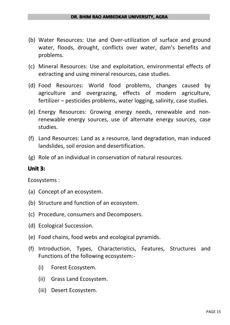- (b) Water Resources: Use and Over-utilization of surface and ground water, floods, drought, conflicts over water, dam's benefits and problems.
- (c) Mineral Resources: Use and exploitation, environmental effects of extracting and using mineral resources, case studies.
- (d) Food Resources: World food problems, changes caused by agriculture and overgrazing, effects of modern agriculture, fertilizer – pesticides problems, water logging, salinity, case studies.
- (e) Energy Resources: Growing energy needs, renewable and nonrenewable energy sources, use of alternate energy sources, case studies.
- (f) Land Resources: Land as <sup>a</sup> resource, land degradation, man induced landslides, soil erosion and desertification.
- (g) Role of an individual in conservation of natural resources.

### **Unit 3:**

Ecosystems :

- (a) Concept of an ecosystem.
- (b) Structure and function of an ecosystem.
- (c) Procedure, consumers and Decomposers.
- (d) Ecological Succession.
- (e) Food chains, food webs and ecological pyramids.
- (f) Introduction, Types, Characteristics, Features, Structures and Functions of the following ecosystem:-
	- (i) Forest Ecosystem.
	- (ii) Grass Land Ecosystem.
	- (iii) Desert Ecosystem.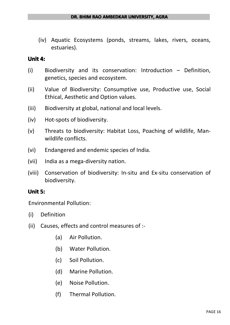(iv) Aquatic Ecosystems (ponds, streams, lakes, rivers, oceans, estuaries).

#### **Unit 4:**

- (i) Biodiversity and its conservation: Introduction Definition, genetics, species and ecosystem.
- (ii) Value of Biodiversity: Consumptive use, Productive use, Social Ethical, Aesthetic and Option values.
- (iii) Biodiversity at global, national and local levels.
- (iv) Hot-spots of biodiversity.
- (v) Threats to biodiversity: Habitat Loss, Poaching of wildlife, Manwildlife conflicts.
- (vi) Endangered and endemic species of India.
- (vii) India as <sup>a</sup> mega-diversity nation.
- (viii) Conservation of biodiversity: In-situ and Ex-situ conservation of biodiversity.

### **Unit 5:**

Environmental Pollution:

- (i) Definition
- (ii) Causes, effects and control measures of :-
	- (a) Air Pollution.
	- (b) Water Pollution.
	- (c) Soil Pollution.
	- (d) Marine Pollution.
	- (e) Noise Pollution.
	- (f) Thermal Pollution.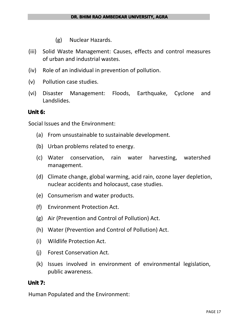- (g) Nuclear Hazards.
- (iii) Solid Waste Management: Causes, effects and control measures of urban and industrial wastes.
- (iv) Role of an individual in prevention of pollution.
- (v) Pollution case studies.
- (vi) Disaster Management: Floods, Earthquake, Cyclone and Landslides.

#### **Unit 6:**

Social Issues and the Environment:

- (a) From unsustainable to sustainable development.
- (b) Urban problems related to energy.
- (c) Water conservation, rain water harvesting, watershed management.
- (d) Climate change, global warming, acid rain, ozone layer depletion, nuclear accidents and holocaust, case studies.
- (e) Consumerism and water products.
- (f) Environment Protection Act.
- (g) Air (Prevention and Control of Pollution) Act.
- (h) Water (Prevention and Control of Pollution) Act.
- (i) Wildlife Protection Act.
- (j) Forest Conservation Act.
- (k) Issues involved in environment of environmental legislation, public awareness.

#### **Unit 7:**

Human Populated and the Environment: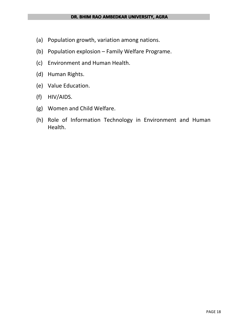- (a) Population growth, variation among nations.
- (b) Population explosion Family Welfare Programe.
- (c) Environment and Human Health.
- (d) Human Rights.
- (e) Value Education.
- (f) HIV/AIDS.
- (g) Women and Child Welfare.
- (h) Role of Information Technology in Environment and Human Health.